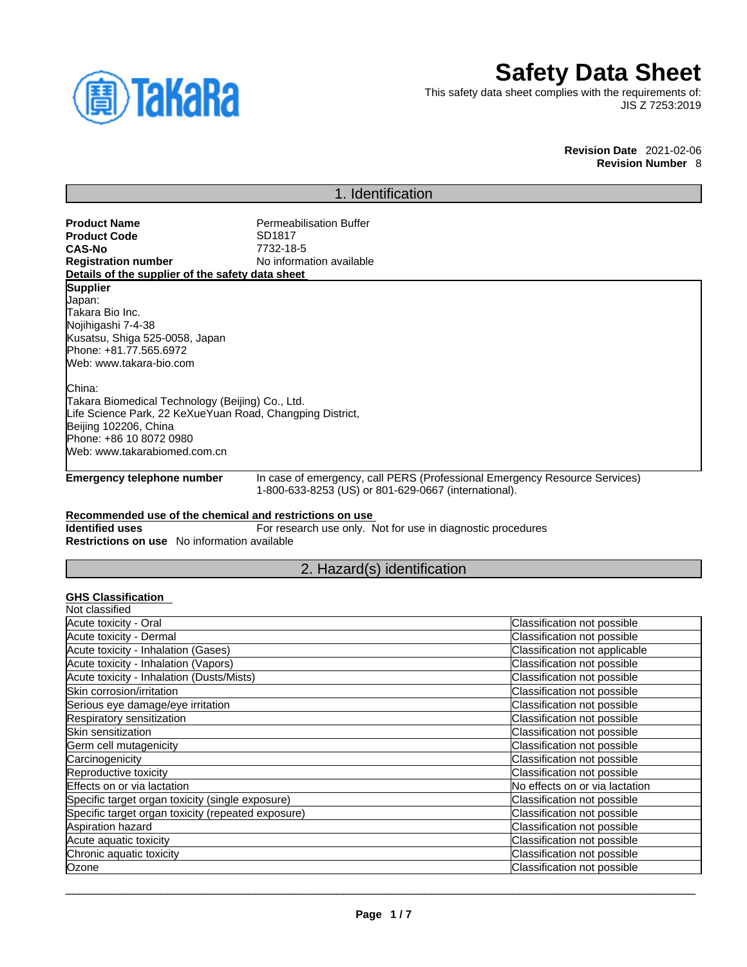

# **Safety Data Sheet**

This safety data sheet complies with the requirements of: JIS Z 7253:2019

> **Revision Date** 2021-02-06 **Revision Number** 8

### 1. Identification

**Product Name**<br> **Product Code**<br> **Product Code**<br> **Product Code**<br> **Product Code Product Code**<br>CAS-No **CAS-No** 7732-18-5 **No information available Details of the supplier of the safety data sheet**

#### **Supplier**

Japan: Takara Bio Inc. Nojihigashi 7-4-38 Kusatsu, Shiga 525-0058, Japan Phone: +81.77.565.6972 Web: www.takara-bio.com

China:

Takara Biomedical Technology (Beijing) Co., Ltd. Life Science Park, 22 KeXueYuan Road, Changping District, Beijing 102206, China Phone: +86 10 8072 0980 Web: www.takarabiomed.com.cn

**Emergency telephone number** In case of emergency, call PERS (Professional Emergency Resource Services) 1-800-633-8253 (US) or 801-629-0667 (international).

#### **Recommended use of the chemical and restrictions on use**

**Identified uses** For research use only. Not for use in diagnostic procedures **Restrictions on use** No information available

#### 2. Hazard(s) identification

#### **GHS Classification**

| Classification not possible    |
|--------------------------------|
| Classification not possible    |
| Classification not applicable  |
| Classification not possible    |
| Classification not possible    |
| Classification not possible    |
| Classification not possible    |
| Classification not possible    |
| Classification not possible    |
| Classification not possible    |
| Classification not possible    |
| Classification not possible    |
| No effects on or via lactation |
| Classification not possible    |
| Classification not possible    |
| Classification not possible    |
| Classification not possible    |
| Classification not possible    |
| Classification not possible    |
|                                |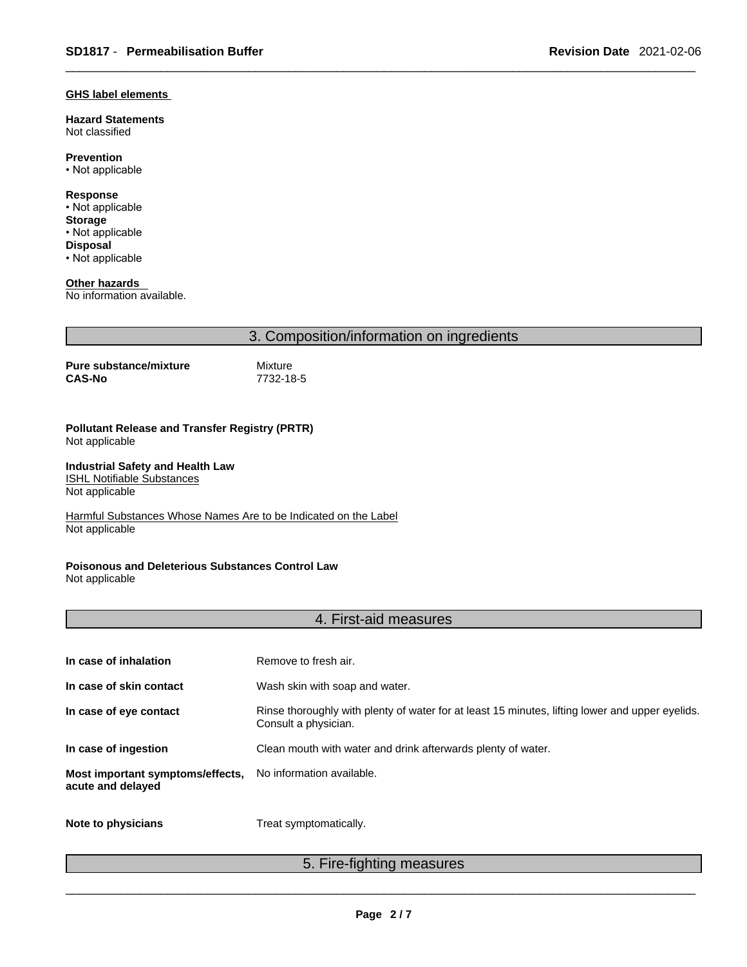#### **GHS label elements**

**Hazard Statements**  Not classified

**Prevention**

• Not applicable

**Response** • Not applicable **Storage** • Not applicable **Disposal** • Not applicable

**Other hazards** 

No information available.

3. Composition/information on ingredients

**Pure substance/mixture** Mixture<br>CAS-No 7732-18

**CAS-No** 7732-18-5

**Pollutant Release and Transfer Registry (PRTR)** Not applicable

**Industrial Safety and Health Law**  ISHL Notifiable Substances

Not applicable

Harmful Substances Whose Names Are to be Indicated on the Label Not applicable

**Poisonous and Deleterious Substances Control Law** Not applicable

#### 4. First-aid measures

| In case of inhalation                                 | Remove to fresh air.                                                                                                    |
|-------------------------------------------------------|-------------------------------------------------------------------------------------------------------------------------|
| In case of skin contact                               | Wash skin with soap and water.                                                                                          |
| In case of eye contact                                | Rinse thoroughly with plenty of water for at least 15 minutes, lifting lower and upper eyelids.<br>Consult a physician. |
| In case of ingestion                                  | Clean mouth with water and drink afterwards plenty of water.                                                            |
| Most important symptoms/effects,<br>acute and delayed | No information available.                                                                                               |
| Note to physicians                                    | Treat symptomatically.                                                                                                  |

5. Fire-fighting measures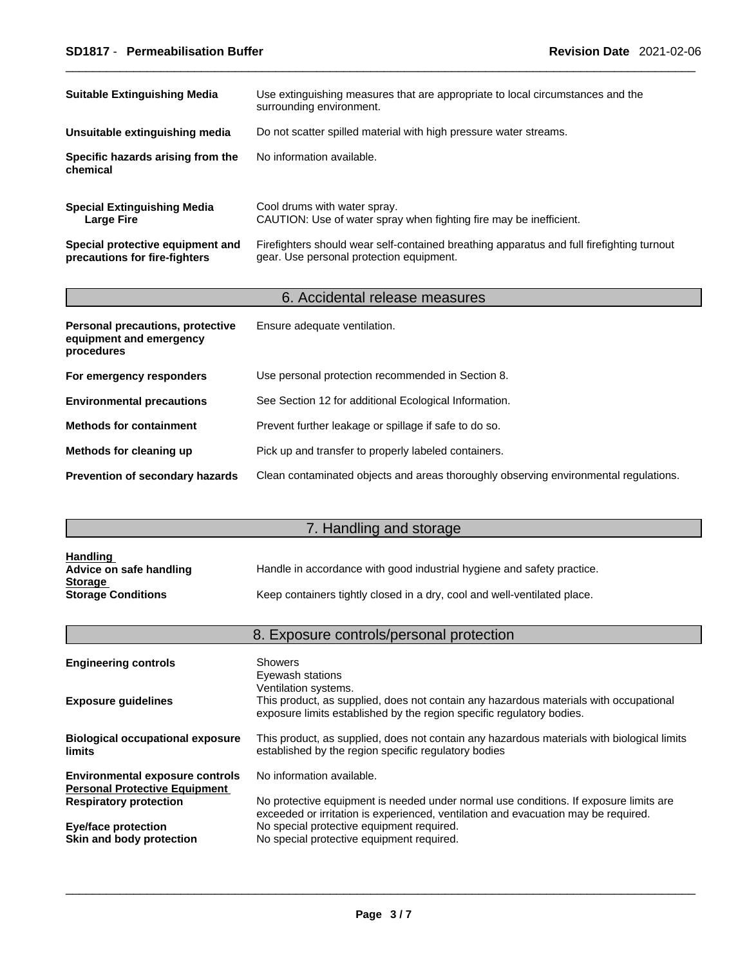| <b>Suitable Extinguishing Media</b>                               | Use extinguishing measures that are appropriate to local circumstances and the<br>surrounding environment.                            |
|-------------------------------------------------------------------|---------------------------------------------------------------------------------------------------------------------------------------|
| Unsuitable extinguishing media                                    | Do not scatter spilled material with high pressure water streams.                                                                     |
| Specific hazards arising from the<br>chemical                     | No information available.                                                                                                             |
| <b>Special Extinguishing Media</b><br><b>Large Fire</b>           | Cool drums with water spray.<br>CAUTION: Use of water spray when fighting fire may be inefficient.                                    |
| Special protective equipment and<br>precautions for fire-fighters | Firefighters should wear self-contained breathing apparatus and full firefighting turnout<br>gear. Use personal protection equipment. |

## 6. Accidental release measures

| Personal precautions, protective<br>equipment and emergency<br>procedures | Ensure adequate ventilation.                                                         |
|---------------------------------------------------------------------------|--------------------------------------------------------------------------------------|
| For emergency responders                                                  | Use personal protection recommended in Section 8.                                    |
| <b>Environmental precautions</b>                                          | See Section 12 for additional Ecological Information.                                |
| <b>Methods for containment</b>                                            | Prevent further leakage or spillage if safe to do so.                                |
| Methods for cleaning up                                                   | Pick up and transfer to properly labeled containers.                                 |
| <b>Prevention of secondary hazards</b>                                    | Clean contaminated objects and areas thoroughly observing environmental regulations. |

# 7. Handling and storage

| <b>Handling</b><br>Advice on safe handling | Handle in accordance with good industrial hygiene and safety practice.   |
|--------------------------------------------|--------------------------------------------------------------------------|
| <b>Storage</b>                             |                                                                          |
| <b>Storage Conditions</b>                  | Keep containers tightly closed in a dry, cool and well-ventilated place. |

|                                                                                | 8. Exposure controls/personal protection                                                                                                                                               |
|--------------------------------------------------------------------------------|----------------------------------------------------------------------------------------------------------------------------------------------------------------------------------------|
| <b>Engineering controls</b>                                                    | <b>Showers</b><br>Eyewash stations                                                                                                                                                     |
| <b>Exposure guidelines</b>                                                     | Ventilation systems.<br>This product, as supplied, does not contain any hazardous materials with occupational<br>exposure limits established by the region specific regulatory bodies. |
| <b>Biological occupational exposure</b><br>limits                              | This product, as supplied, does not contain any hazardous materials with biological limits<br>established by the region specific regulatory bodies                                     |
| <b>Environmental exposure controls</b><br><b>Personal Protective Equipment</b> | No information available.                                                                                                                                                              |
| <b>Respiratory protection</b>                                                  | No protective equipment is needed under normal use conditions. If exposure limits are<br>exceeded or irritation is experienced, ventilation and evacuation may be required.            |
| Eye/face protection<br>Skin and body protection                                | No special protective equipment required.<br>No special protective equipment required.                                                                                                 |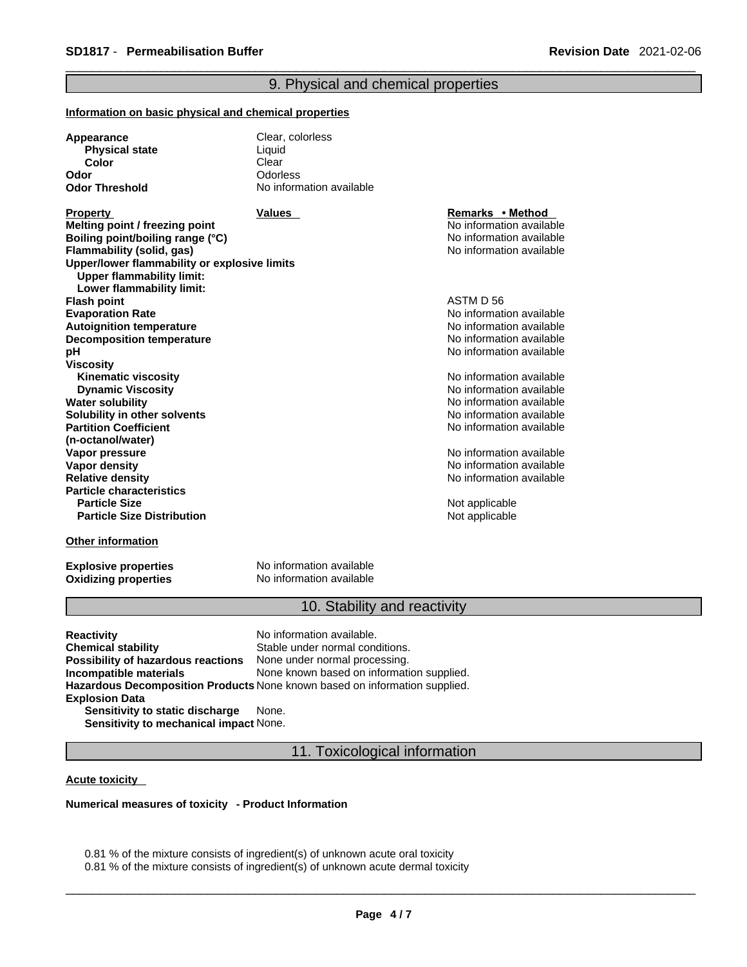#### 9. Physical and chemical properties

#### **Information on basic physical and chemical properties**

| Appearance            | Clear, colorless         |
|-----------------------|--------------------------|
| <b>Physical state</b> | Liauid                   |
| Color                 | Clear                    |
| Odor                  | Odorless                 |
| <b>Odor Threshold</b> | No information available |

**Property Remarks • Property Remarks • Method Melting point / freezing point**  $\blacksquare$  **Melting point** No information available **Boiling point/boiling range (°C)** and the set of the set of the No information available **Flammability (solid, gas)** No information available **Upper/lower flammability or explosive limits Upper flammability limit: Lower flammability limit: Flash point** ASTM D 56 **Evaporation Rate**<br> **Autoignition temperature**<br> **Autoignition temperature**<br> **Autoignition available Autoignition temperature**<br> **Decomposition temperature** Noinformation available<br>
No information available **Decomposition temperature pH pH pH** *pH pH pH pH pH pH pH pH pH pH pH pH pH pH pH pH pH pH pH pH pH pH pH pH pH pH pH pH pH pH* **Viscosity Kinematic viscosity Notifically** No information available **Dynamic Viscosity No information available** No information available **Water solubility No information available No information available Solubility in other solvents intervalsed** No information available **Partition Coefficient (n-octanol/water) Vapor pressure**<br> **Vapor density**<br> **Vapor density**<br> **Vapor density Vapor density**<br> **Vapor density**<br> **Relative density**<br> **Relative density Particle characteristics Particle Size Distribution**

No information available

**Relative density** No information available

**Not applicable** Not applicable

#### **Other information**

**Oxidizing properties** 

**Explosive properties**<br> **Oxidizing properties**<br>
No information available

#### 10. Stability and reactivity

| Reactivity                             | No information available.                                                         |
|----------------------------------------|-----------------------------------------------------------------------------------|
| Chemical stability                     | Stable under normal conditions.                                                   |
| Possibility of hazardous reactions     | None under normal processing.                                                     |
| Incompatible materials                 | None known based on information supplied.                                         |
|                                        | <b>Hazardous Decomposition Products</b> None known based on information supplied. |
| <b>Explosion Data</b>                  |                                                                                   |
| Sensitivity to static discharge        | None.                                                                             |
| Sensitivity to mechanical impact None. |                                                                                   |

11. Toxicological information

#### **Acute toxicity**

**Numerical measures of toxicity - Product Information**

0.81 % of the mixture consists of ingredient(s) of unknown acute oral toxicity

0.81 % of the mixture consists of ingredient(s) of unknown acute dermal toxicity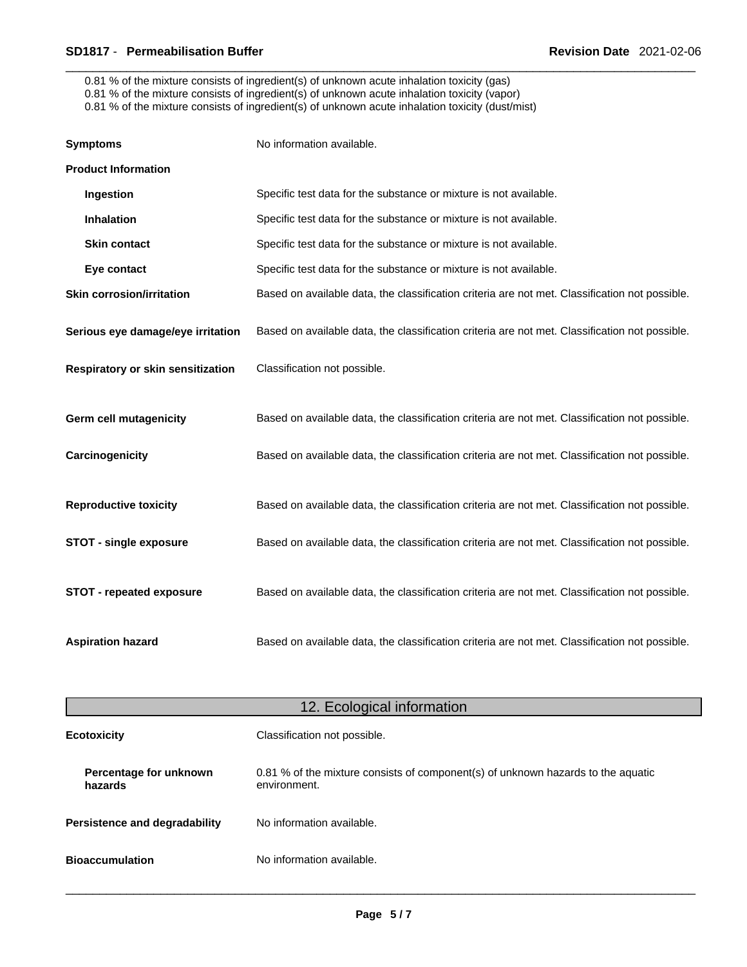0.81 % of the mixture consists of ingredient(s) of unknown acute inhalation toxicity (gas)

0.81 % of the mixture consists of ingredient(s) of unknown acute inhalation toxicity (vapor)

0.81 % of the mixture consists of ingredient(s) of unknown acute inhalation toxicity (dust/mist)

| <b>Symptoms</b>                   | No information available.                                                                      |
|-----------------------------------|------------------------------------------------------------------------------------------------|
| <b>Product Information</b>        |                                                                                                |
| Ingestion                         | Specific test data for the substance or mixture is not available.                              |
| Inhalation                        | Specific test data for the substance or mixture is not available.                              |
| <b>Skin contact</b>               | Specific test data for the substance or mixture is not available.                              |
| Eye contact                       | Specific test data for the substance or mixture is not available.                              |
| <b>Skin corrosion/irritation</b>  | Based on available data, the classification criteria are not met. Classification not possible. |
| Serious eye damage/eye irritation | Based on available data, the classification criteria are not met. Classification not possible. |
| Respiratory or skin sensitization | Classification not possible.                                                                   |
| Germ cell mutagenicity            | Based on available data, the classification criteria are not met. Classification not possible. |
| Carcinogenicity                   | Based on available data, the classification criteria are not met. Classification not possible. |
| <b>Reproductive toxicity</b>      | Based on available data, the classification criteria are not met. Classification not possible. |
| <b>STOT - single exposure</b>     | Based on available data, the classification criteria are not met. Classification not possible. |
| <b>STOT - repeated exposure</b>   | Based on available data, the classification criteria are not met. Classification not possible. |
| <b>Aspiration hazard</b>          | Based on available data, the classification criteria are not met. Classification not possible. |

| 12. Ecological information        |                                                                                                  |  |
|-----------------------------------|--------------------------------------------------------------------------------------------------|--|
| <b>Ecotoxicity</b>                | Classification not possible.                                                                     |  |
| Percentage for unknown<br>hazards | 0.81 % of the mixture consists of component(s) of unknown hazards to the aquatic<br>environment. |  |
| Persistence and degradability     | No information available.                                                                        |  |
| <b>Bioaccumulation</b>            | No information available.                                                                        |  |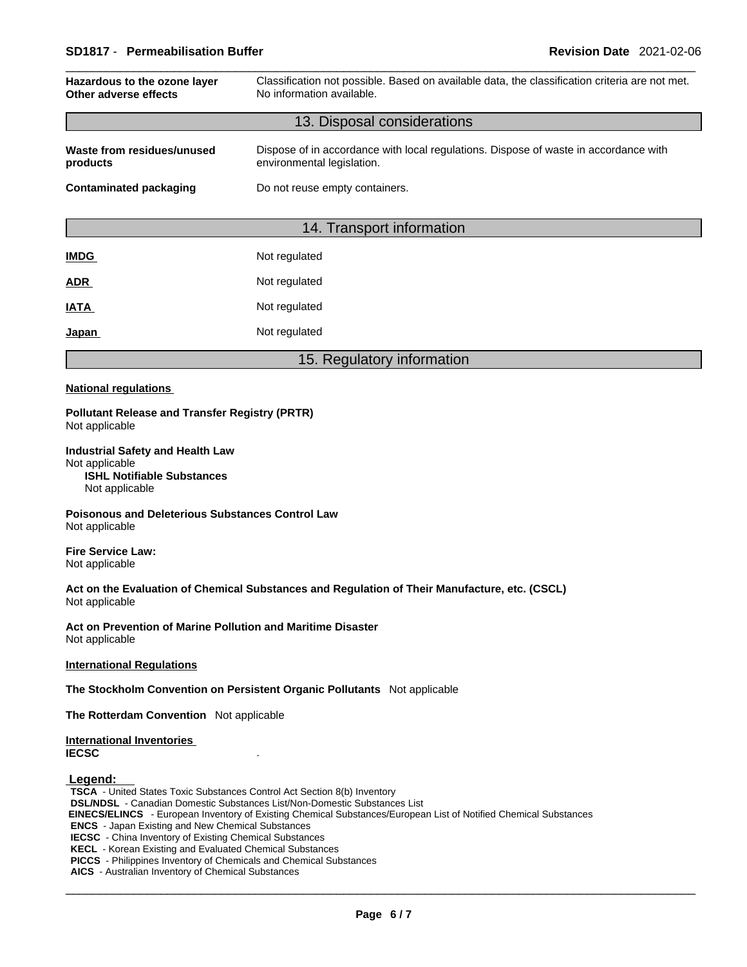#### \_\_\_\_\_\_\_\_\_\_\_\_\_\_\_\_\_\_\_\_\_\_\_\_\_\_\_\_\_\_\_\_\_\_\_\_\_\_\_\_\_\_\_\_\_\_\_\_\_\_\_\_\_\_\_\_\_\_\_\_\_\_\_\_\_\_\_\_\_\_\_\_\_\_\_\_\_\_\_\_\_\_\_\_\_\_\_\_\_\_\_\_\_ **SD1817** - **Permeabilisation Buffer Revision Date** 2021-02-06

| Hazardous to the ozone layer<br>Other adverse effects                                                            | Classification not possible. Based on available data, the classification criteria are not met.<br>No information available. |  |
|------------------------------------------------------------------------------------------------------------------|-----------------------------------------------------------------------------------------------------------------------------|--|
|                                                                                                                  | 13. Disposal considerations                                                                                                 |  |
| Waste from residues/unused<br>products                                                                           | Dispose of in accordance with local regulations. Dispose of waste in accordance with<br>environmental legislation.          |  |
| <b>Contaminated packaging</b>                                                                                    | Do not reuse empty containers.                                                                                              |  |
|                                                                                                                  | 14. Transport information                                                                                                   |  |
| <b>IMDG</b>                                                                                                      | Not regulated                                                                                                               |  |
| <b>ADR</b>                                                                                                       | Not regulated                                                                                                               |  |
| <b>IATA</b>                                                                                                      | Not regulated                                                                                                               |  |
| Japan                                                                                                            | Not regulated                                                                                                               |  |
|                                                                                                                  | 15. Regulatory information                                                                                                  |  |
| <b>National regulations</b>                                                                                      |                                                                                                                             |  |
| <b>Pollutant Release and Transfer Registry (PRTR)</b><br>Not applicable                                          |                                                                                                                             |  |
| <b>Industrial Safety and Health Law</b><br>Not applicable<br><b>ISHL Notifiable Substances</b><br>Not applicable |                                                                                                                             |  |

**Poisonous and Deleterious Substances Control Law** Not applicable

**Fire Service Law:** Not applicable

**Act on the Evaluation of Chemical Substances and Regulation of Their Manufacture, etc. (CSCL)** Not applicable

**Act on Prevention of Marine Pollution and Maritime Disaster** Not applicable

**International Regulations**

**The Stockholm Convention on Persistent Organic Pollutants** Not applicable

**The Rotterdam Convention** Not applicable

**International Inventories IECSC** .

 **Legend:** 

**TSCA** - United States Toxic Substances Control Act Section 8(b) Inventory **DSL/NDSL** - Canadian Domestic Substances List/Non-Domestic Substances List  **EINECS/ELINCS** - European Inventory of Existing Chemical Substances/European List of Notified Chemical Substances **ENCS** - Japan Existing and New Chemical Substances **IECSC** - China Inventory of Existing Chemical Substances **KECL** - Korean Existing and Evaluated Chemical Substances **PICCS** - Philippines Inventory of Chemicals and Chemical Substances